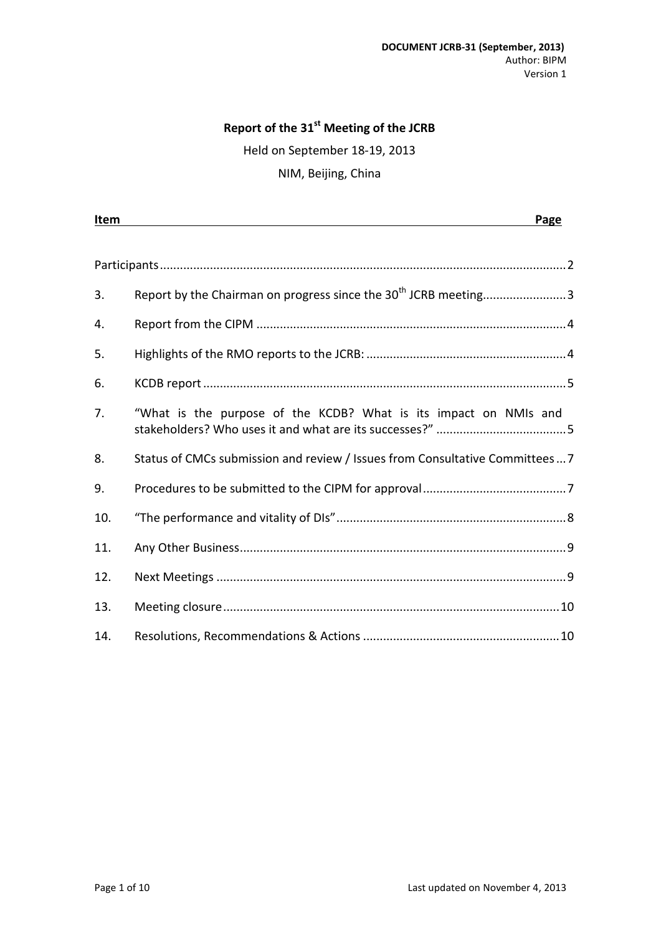### **Report of the 31 st Meeting of the JCRB**

Held on September 18-19, 2013

NIM, Beijing, China

| <u>Item</u> |                                                                             | Page |
|-------------|-----------------------------------------------------------------------------|------|
|             |                                                                             |      |
|             |                                                                             |      |
| 3.          | Report by the Chairman on progress since the 30 <sup>th</sup> JCRB meeting3 |      |
| 4.          |                                                                             |      |
| 5.          |                                                                             |      |
| 6.          |                                                                             |      |
| 7.          | "What is the purpose of the KCDB? What is its impact on NMIs and            |      |
| 8.          | Status of CMCs submission and review / Issues from Consultative Committees7 |      |
| 9.          |                                                                             |      |
| 10.         |                                                                             |      |
| 11.         |                                                                             |      |
| 12.         |                                                                             |      |
| 13.         |                                                                             |      |
| 14.         |                                                                             |      |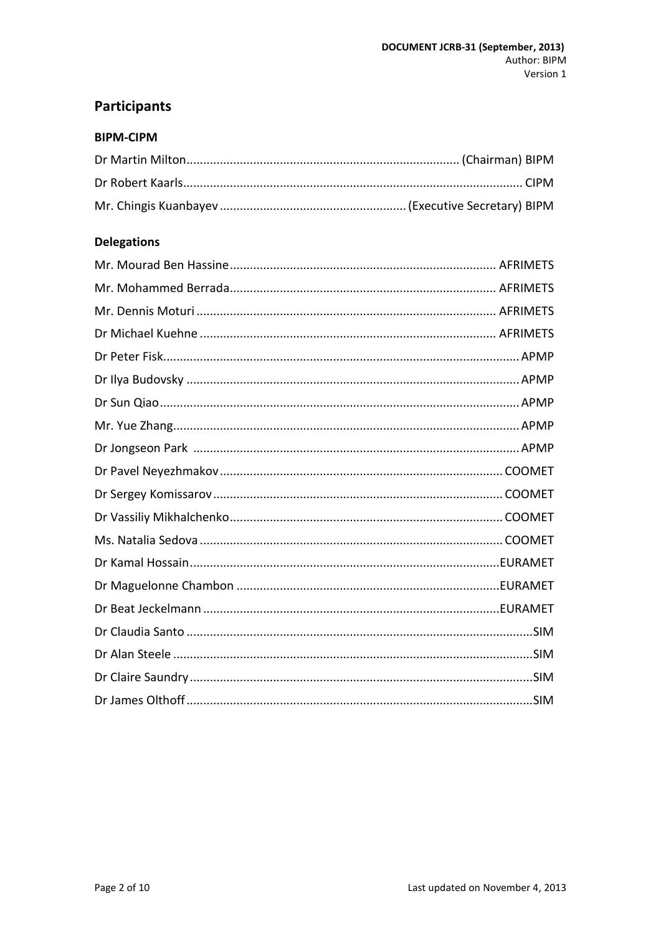# <span id="page-1-0"></span>**Participants**

#### **BIPM-CIPM**

# **Delegations**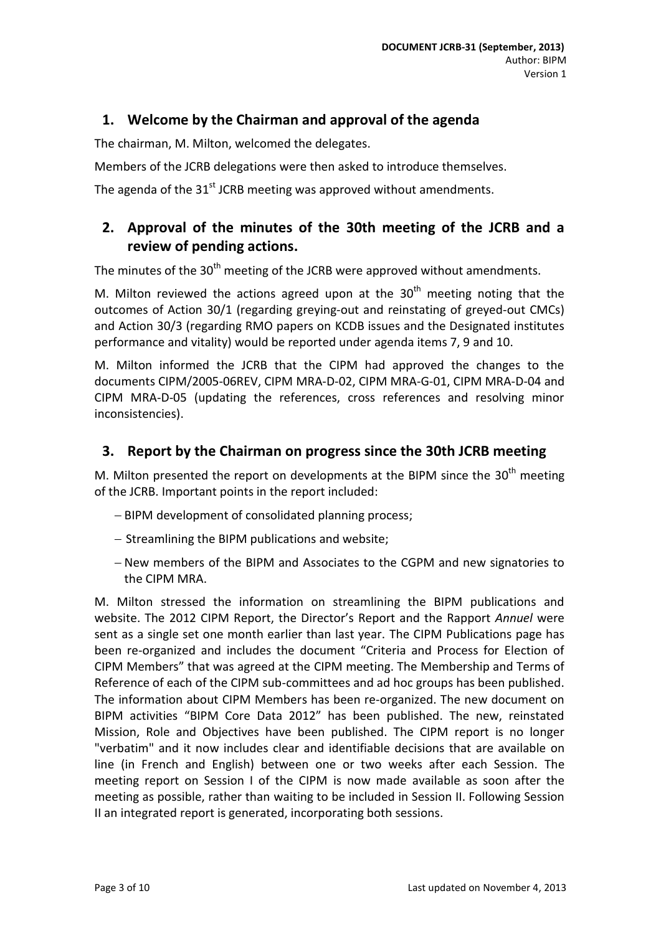# **1. Welcome by the Chairman and approval of the agenda**

The chairman, M. Milton, welcomed the delegates.

Members of the JCRB delegations were then asked to introduce themselves.

The agenda of the 31<sup>st</sup> JCRB meeting was approved without amendments.

# **2. Approval of the minutes of the 30th meeting of the JCRB and a review of pending actions.**

The minutes of the 30<sup>th</sup> meeting of the JCRB were approved without amendments.

M. Milton reviewed the actions agreed upon at the  $30<sup>th</sup>$  meeting noting that the outcomes of Action 30/1 (regarding greying-out and reinstating of greyed-out CMCs) and Action 30/3 (regarding RMO papers on KCDB issues and the Designated institutes performance and vitality) would be reported under agenda items 7, 9 and 10.

M. Milton informed the JCRB that the CIPM had approved the changes to the documents CIPM/2005-06REV, CIPM MRA-D-02, CIPM MRA-G-01, CIPM MRA-D-04 and CIPM MRA-D-05 (updating the references, cross references and resolving minor inconsistencies).

### <span id="page-2-0"></span>**3. Report by the Chairman on progress since the 30th JCRB meeting**

M. Milton presented the report on developments at the BIPM since the  $30<sup>th</sup>$  meeting of the JCRB. Important points in the report included:

- BIPM development of consolidated planning process;
- $-$  Streamlining the BIPM publications and website;
- New members of the BIPM and Associates to the CGPM and new signatories to the CIPM MRA.

M. Milton stressed the information on streamlining the BIPM publications and website. The 2012 CIPM Report, the Director's Report and the Rapport *Annuel* were sent as a single set one month earlier than last year. The CIPM Publications page has been re-organized and includes the document "Criteria and Process for Election of CIPM Members" that was agreed at the CIPM meeting. The Membership and Terms of Reference of each of the CIPM sub-committees and ad hoc groups has been published. The information about CIPM Members has been re-organized. The new document on BIPM activities "BIPM Core Data 2012" has been published. The new, reinstated Mission, Role and Objectives have been published. The CIPM report is no longer "verbatim" and it now includes clear and identifiable decisions that are available on line (in French and English) between one or two weeks after each Session. The meeting report on Session I of the CIPM is now made available as soon after the meeting as possible, rather than waiting to be included in Session II. Following Session II an integrated report is generated, incorporating both sessions.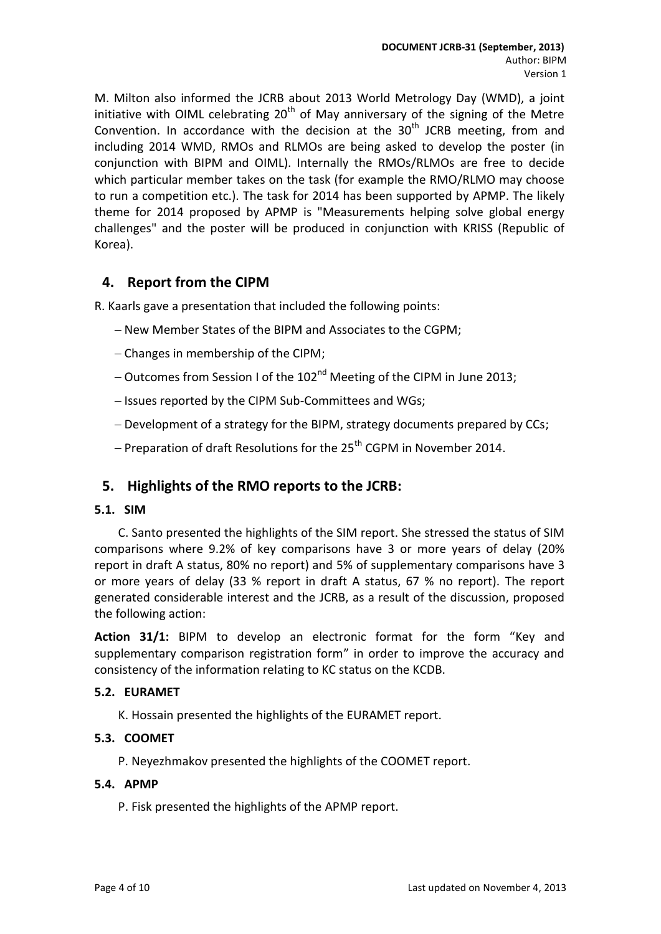M. Milton also informed the JCRB about 2013 World Metrology Day (WMD), a joint initiative with OIML celebrating  $20<sup>th</sup>$  of May anniversary of the signing of the Metre Convention. In accordance with the decision at the  $30<sup>th</sup>$  JCRB meeting, from and including 2014 WMD, RMOs and RLMOs are being asked to develop the poster (in conjunction with BIPM and OIML). Internally the RMOs/RLMOs are free to decide which particular member takes on the task (for example the RMO/RLMO may choose to run a competition etc.). The task for 2014 has been supported by APMP. The likely theme for 2014 proposed by APMP is "Measurements helping solve global energy challenges" and the poster will be produced in conjunction with KRISS (Republic of Korea).

### <span id="page-3-0"></span>**4. Report from the CIPM**

R. Kaarls gave a presentation that included the following points:

- New Member States of the BIPM and Associates to the CGPM;
- Changes in membership of the CIPM;
- Outcomes from Session I of the 102<sup>nd</sup> Meeting of the CIPM in June 2013;
- Issues reported by the CIPM Sub-Committees and WGs;
- Development of a strategy for the BIPM, strategy documents prepared by CCs;
- Preparation of draft Resolutions for the  $25<sup>th</sup>$  CGPM in November 2014.

### <span id="page-3-1"></span>**5. Highlights of the RMO reports to the JCRB:**

#### **5.1. SIM**

C. Santo presented the highlights of the SIM report. She stressed the status of SIM comparisons where 9.2% of key comparisons have 3 or more years of delay (20% report in draft A status, 80% no report) and 5% of supplementary comparisons have 3 or more years of delay (33 % report in draft A status, 67 % no report). The report generated considerable interest and the JCRB, as a result of the discussion, proposed the following action:

**Action 31/1:** BIPM to develop an electronic format for the form "Key and supplementary comparison registration form" in order to improve the accuracy and consistency of the information relating to KC status on the KCDB.

#### **5.2. EURAMET**

K. Hossain presented the highlights of the EURAMET report.

#### **5.3. COOMET**

P. Neyezhmakov presented the highlights of the COOMET report.

#### **5.4. APMP**

P. Fisk presented the highlights of the APMP report.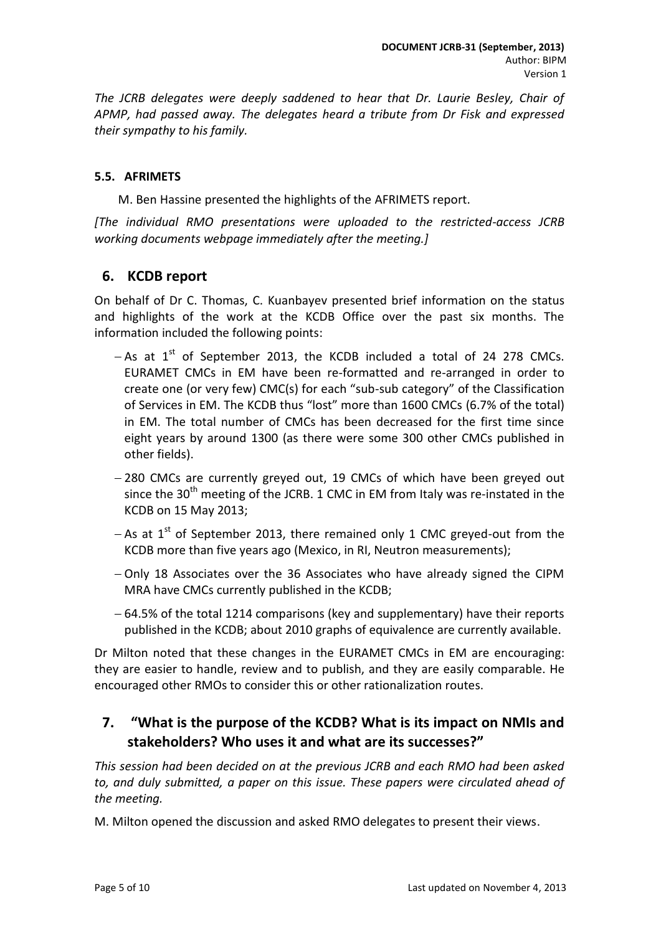*The JCRB delegates were deeply saddened to hear that Dr. Laurie Besley, Chair of APMP, had passed away. The delegates heard a tribute from Dr Fisk and expressed their sympathy to his family.*

#### **5.5. AFRIMETS**

M. Ben Hassine presented the highlights of the AFRIMETS report.

*[The individual RMO presentations were uploaded to the restricted-access JCRB working documents webpage immediately after the meeting.]*

### <span id="page-4-0"></span>**6. KCDB report**

On behalf of Dr C. Thomas, C. Kuanbayev presented brief information on the status and highlights of the work at the KCDB Office over the past six months. The information included the following points:

- $-$  As at  $1<sup>st</sup>$  of September 2013, the KCDB included a total of 24 278 CMCs. EURAMET CMCs in EM have been re-formatted and re-arranged in order to create one (or very few) CMC(s) for each "sub-sub category" of the Classification of Services in EM. The KCDB thus "lost" more than 1600 CMCs (6.7% of the total) in EM. The total number of CMCs has been decreased for the first time since eight years by around 1300 (as there were some 300 other CMCs published in other fields).
- -280 CMCs are currently greyed out, 19 CMCs of which have been greyed out since the  $30<sup>th</sup>$  meeting of the JCRB. 1 CMC in EM from Italy was re-instated in the KCDB on 15 May 2013;
- As at  $1<sup>st</sup>$  of September 2013, there remained only 1 CMC greved-out from the KCDB more than five years ago (Mexico, in RI, Neutron measurements);
- Only 18 Associates over the 36 Associates who have already signed the CIPM MRA have CMCs currently published in the KCDB;
- 64.5% of the total 1214 comparisons (key and supplementary) have their reports published in the KCDB; about 2010 graphs of equivalence are currently available.

Dr Milton noted that these changes in the EURAMET CMCs in EM are encouraging: they are easier to handle, review and to publish, and they are easily comparable. He encouraged other RMOs to consider this or other rationalization routes.

# <span id="page-4-1"></span>**7. "What is the purpose of the KCDB? What is its impact on NMIs and stakeholders? Who uses it and what are its successes?"**

*This session had been decided on at the previous JCRB and each RMO had been asked to, and duly submitted, a paper on this issue. These papers were circulated ahead of the meeting.* 

M. Milton opened the discussion and asked RMO delegates to present their views.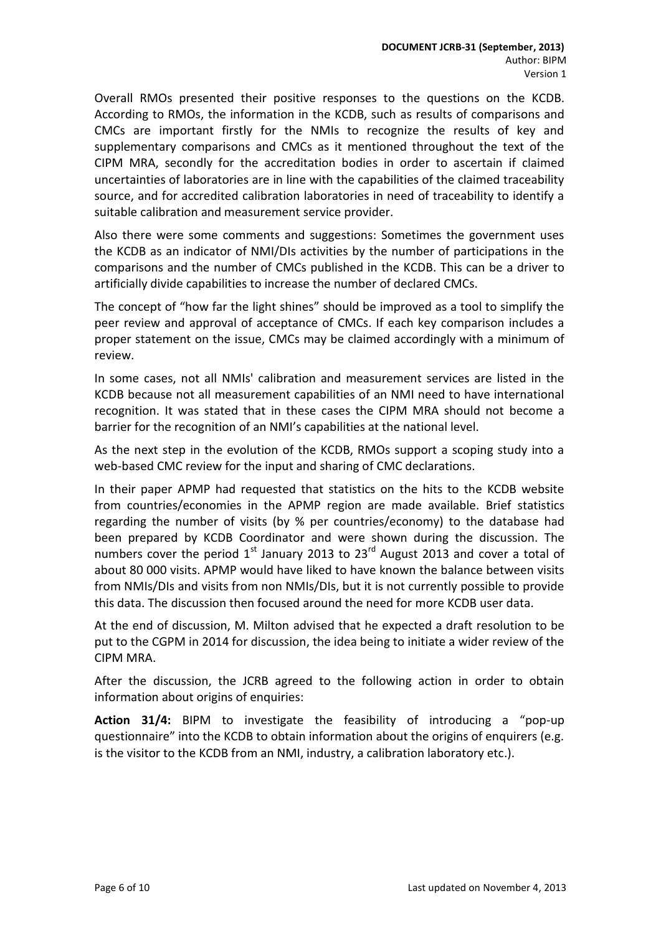Overall RMOs presented their positive responses to the questions on the KCDB. According to RMOs, the information in the KCDB, such as results of comparisons and CMCs are important firstly for the NMIs to recognize the results of key and supplementary comparisons and CMCs as it mentioned throughout the text of the CIPM MRA, secondly for the accreditation bodies in order to ascertain if claimed uncertainties of laboratories are in line with the capabilities of the claimed traceability source, and for accredited calibration laboratories in need of traceability to identify a suitable calibration and measurement service provider.

Also there were some comments and suggestions: Sometimes the government uses the KCDB as an indicator of NMI/DIs activities by the number of participations in the comparisons and the number of CMCs published in the KCDB. This can be a driver to artificially divide capabilities to increase the number of declared CMCs.

The concept of "how far the light shines" should be improved as a tool to simplify the peer review and approval of acceptance of CMCs. If each key comparison includes a proper statement on the issue, CMCs may be claimed accordingly with a minimum of review.

In some cases, not all NMIs' calibration and measurement services are listed in the KCDB because not all measurement capabilities of an NMI need to have international recognition. It was stated that in these cases the CIPM MRA should not become a barrier for the recognition of an NMI's capabilities at the national level.

As the next step in the evolution of the KCDB, RMOs support a scoping study into a web-based CMC review for the input and sharing of CMC declarations.

In their paper APMP had requested that statistics on the hits to the KCDB website from countries/economies in the APMP region are made available. Brief statistics regarding the number of visits (by % per countries/economy) to the database had been prepared by KCDB Coordinator and were shown during the discussion. The numbers cover the period  $1^{st}$  January 2013 to 23<sup>rd</sup> August 2013 and cover a total of about 80 000 visits. APMP would have liked to have known the balance between visits from NMIs/DIs and visits from non NMIs/DIs, but it is not currently possible to provide this data. The discussion then focused around the need for more KCDB user data.

At the end of discussion, M. Milton advised that he expected a draft resolution to be put to the CGPM in 2014 for discussion, the idea being to initiate a wider review of the CIPM MRA.

After the discussion, the JCRB agreed to the following action in order to obtain information about origins of enquiries:

**Action 31/4:** BIPM to investigate the feasibility of introducing a "pop-up questionnaire" into the KCDB to obtain information about the origins of enquirers (e.g. is the visitor to the KCDB from an NMI, industry, a calibration laboratory etc.).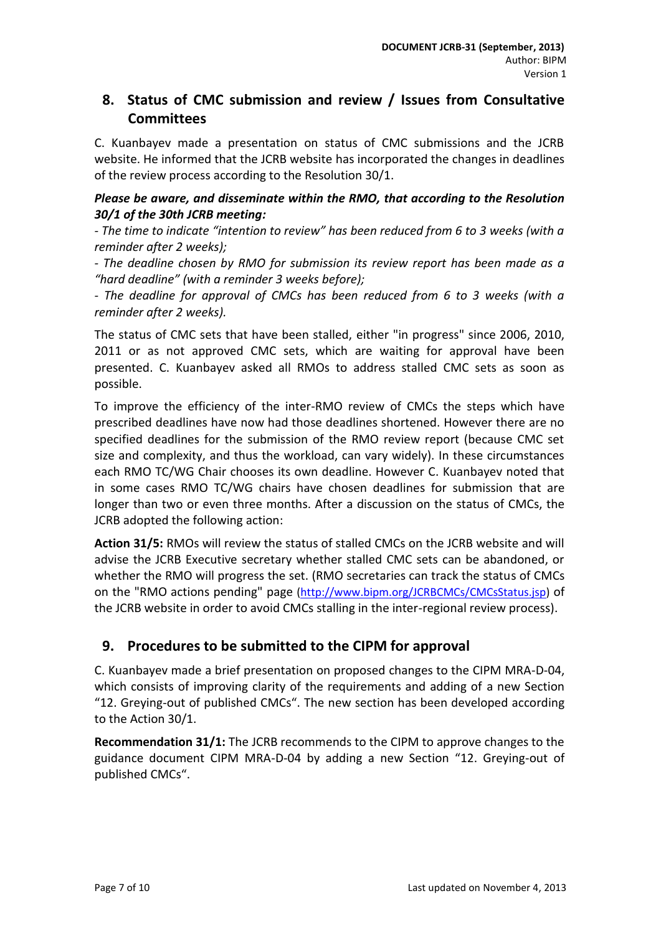# <span id="page-6-0"></span>**8. Status of CMC submission and review / Issues from Consultative Committees**

C. Kuanbayev made a presentation on status of CMC submissions and the JCRB website. He informed that the JCRB website has incorporated the changes in deadlines of the review process according to the Resolution 30/1.

### *Please be aware, and disseminate within the RMO, that according to the Resolution 30/1 of the 30th JCRB meeting:*

*- The time to indicate "intention to review" has been reduced from 6 to 3 weeks (with a reminder after 2 weeks);*

*- The deadline chosen by RMO for submission its review report has been made as a "hard deadline" (with a reminder 3 weeks before);*

*- The deadline for approval of CMCs has been reduced from 6 to 3 weeks (with a reminder after 2 weeks).*

The status of CMC sets that have been stalled, either "in progress" since 2006, 2010, 2011 or as not approved CMC sets, which are waiting for approval have been presented. C. Kuanbayev asked all RMOs to address stalled CMC sets as soon as possible.

To improve the efficiency of the inter-RMO review of CMCs the steps which have prescribed deadlines have now had those deadlines shortened. However there are no specified deadlines for the submission of the RMO review report (because CMC set size and complexity, and thus the workload, can vary widely). In these circumstances each RMO TC/WG Chair chooses its own deadline. However C. Kuanbayev noted that in some cases RMO TC/WG chairs have chosen deadlines for submission that are longer than two or even three months. After a discussion on the status of CMCs, the JCRB adopted the following action:

**Action 31/5:** RMOs will review the status of stalled CMCs on the JCRB website and will advise the JCRB Executive secretary whether stalled CMC sets can be abandoned, or whether the RMO will progress the set. (RMO secretaries can track the status of CMCs on the "RMO actions pending" page [\(http://www.bipm.org/JCRBCMCs/CMCsStatus.jsp\)](http://www.bipm.org/JCRBCMCs/CMCsStatus.jsp) of the JCRB website in order to avoid CMCs stalling in the inter-regional review process).

# <span id="page-6-1"></span>**9. Procedures to be submitted to the CIPM for approval**

C. Kuanbayev made a brief presentation on proposed changes to the CIPM MRA-D-04, which consists of improving clarity of the requirements and adding of a new Section "12. Greying-out of published CMCs". The new section has been developed according to the Action 30/1.

**Recommendation 31/1:** The JCRB recommends to the CIPM to approve changes to the guidance document CIPM MRA-D-04 by adding a new Section "12. Greying-out of published CMCs".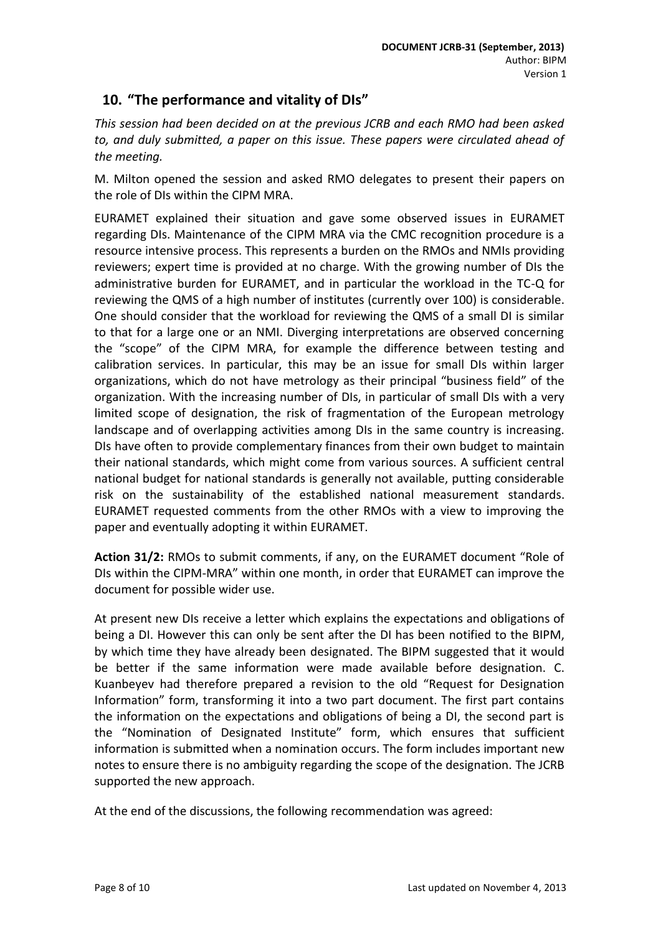# <span id="page-7-0"></span>**10. "The performance and vitality of DIs"**

*This session had been decided on at the previous JCRB and each RMO had been asked to, and duly submitted, a paper on this issue. These papers were circulated ahead of the meeting.*

M. Milton opened the session and asked RMO delegates to present their papers on the role of DIs within the CIPM MRA.

EURAMET explained their situation and gave some observed issues in EURAMET regarding DIs. Maintenance of the CIPM MRA via the CMC recognition procedure is a resource intensive process. This represents a burden on the RMOs and NMIs providing reviewers; expert time is provided at no charge. With the growing number of DIs the administrative burden for EURAMET, and in particular the workload in the TC-Q for reviewing the QMS of a high number of institutes (currently over 100) is considerable. One should consider that the workload for reviewing the QMS of a small DI is similar to that for a large one or an NMI. Diverging interpretations are observed concerning the "scope" of the CIPM MRA, for example the difference between testing and calibration services. In particular, this may be an issue for small DIs within larger organizations, which do not have metrology as their principal "business field" of the organization. With the increasing number of DIs, in particular of small DIs with a very limited scope of designation, the risk of fragmentation of the European metrology landscape and of overlapping activities among DIs in the same country is increasing. DIs have often to provide complementary finances from their own budget to maintain their national standards, which might come from various sources. A sufficient central national budget for national standards is generally not available, putting considerable risk on the sustainability of the established national measurement standards. EURAMET requested comments from the other RMOs with a view to improving the paper and eventually adopting it within EURAMET.

**Action 31/2:** RMOs to submit comments, if any, on the EURAMET document "Role of DIs within the CIPM-MRA" within one month, in order that EURAMET can improve the document for possible wider use.

At present new DIs receive a letter which explains the expectations and obligations of being a DI. However this can only be sent after the DI has been notified to the BIPM, by which time they have already been designated. The BIPM suggested that it would be better if the same information were made available before designation. C. Kuanbeyev had therefore prepared a revision to the old "Request for Designation Information" form, transforming it into a two part document. The first part contains the information on the expectations and obligations of being a DI, the second part is the "Nomination of Designated Institute" form, which ensures that sufficient information is submitted when a nomination occurs. The form includes important new notes to ensure there is no ambiguity regarding the scope of the designation. The JCRB supported the new approach.

At the end of the discussions, the following recommendation was agreed: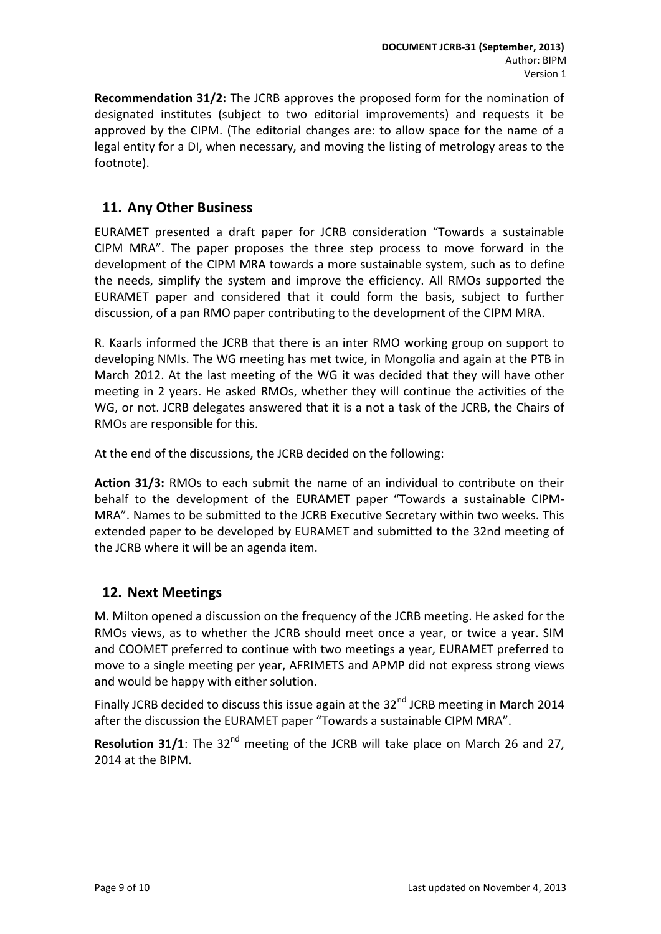**Recommendation 31/2:** The JCRB approves the proposed form for the nomination of designated institutes (subject to two editorial improvements) and requests it be approved by the CIPM. (The editorial changes are: to allow space for the name of a legal entity for a DI, when necessary, and moving the listing of metrology areas to the footnote).

# <span id="page-8-0"></span>**11. Any Other Business**

EURAMET presented a draft paper for JCRB consideration "Towards a sustainable CIPM MRA". The paper proposes the three step process to move forward in the development of the CIPM MRA towards a more sustainable system, such as to define the needs, simplify the system and improve the efficiency. All RMOs supported the EURAMET paper and considered that it could form the basis, subject to further discussion, of a pan RMO paper contributing to the development of the CIPM MRA.

R. Kaarls informed the JCRB that there is an inter RMO working group on support to developing NMIs. The WG meeting has met twice, in Mongolia and again at the PTB in March 2012. At the last meeting of the WG it was decided that they will have other meeting in 2 years. He asked RMOs, whether they will continue the activities of the WG, or not. JCRB delegates answered that it is a not a task of the JCRB, the Chairs of RMOs are responsible for this.

At the end of the discussions, the JCRB decided on the following:

**Action 31/3:** RMOs to each submit the name of an individual to contribute on their behalf to the development of the EURAMET paper "Towards a sustainable CIPM-MRA". Names to be submitted to the JCRB Executive Secretary within two weeks. This extended paper to be developed by EURAMET and submitted to the 32nd meeting of the JCRB where it will be an agenda item.

### <span id="page-8-1"></span>**12. Next Meetings**

M. Milton opened a discussion on the frequency of the JCRB meeting. He asked for the RMOs views, as to whether the JCRB should meet once a year, or twice a year. SIM and COOMET preferred to continue with two meetings a year, EURAMET preferred to move to a single meeting per year, AFRIMETS and APMP did not express strong views and would be happy with either solution.

Finally JCRB decided to discuss this issue again at the  $32<sup>nd</sup>$  JCRB meeting in March 2014 after the discussion the EURAMET paper "Towards a sustainable CIPM MRA".

**Resolution 31/1**: The 32<sup>nd</sup> meeting of the JCRB will take place on March 26 and 27, 2014 at the BIPM.